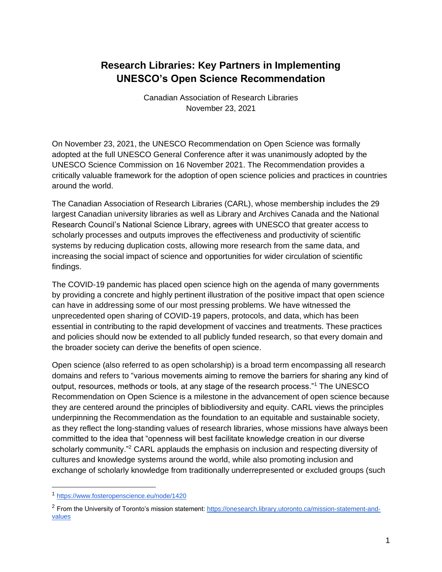# **Research Libraries: Key Partners in Implementing UNESCO's Open Science Recommendation**

Canadian Association of Research Libraries November 23, 2021

On November 23, 2021, the UNESCO Recommendation on Open Science was [formally](https://unesdoc.unesco.org/ark:/48223/pf0000379949.locale=en)  [adopted at the full UNESCO General Conference](https://unesdoc.unesco.org/ark:/48223/pf0000379949.locale=en) after it was [unanimously adopted by the](https://council.science/current/news/unesco-science-commission-adopts-open-science-recommendation/)  [UNESCO Science Commission](https://council.science/current/news/unesco-science-commission-adopts-open-science-recommendation/) on 16 November 2021. The Recommendation provides a critically valuable framework for the adoption of open science policies and practices in countries around the world.

The Canadian Association of Research Libraries (CARL), whose membership includes the 29 largest Canadian university libraries as well as Library and Archives Canada and the National Research Council's National Science Library, agrees with UNESCO that greater access to scholarly processes and outputs improves the effectiveness and productivity of scientific systems by reducing duplication costs, allowing more research from the same data, and increasing the social impact of science and opportunities for wider circulation of scientific findings.

The COVID-19 pandemic has placed open science high on the agenda of many governments by providing a concrete and highly pertinent illustration of the positive impact that open science can have in addressing some of our most pressing problems. We have witnessed the unprecedented open sharing of COVID-19 papers, protocols, and data, which has been essential in contributing to the rapid development of vaccines and treatments. These practices and policies should now be extended to all publicly funded research, so that every domain and the broader society can derive the benefits of open science.

Open science (also referred to as open scholarship) is a broad term encompassing all research domains and refers to "various movements aiming to remove the barriers for sharing any kind of output, resources, methods or tools, at any stage of the research process."<sup>1</sup> The UNESCO Recommendation on Open Science is a milestone in the advancement of open science because they are centered around the principles of bibliodiversity and equity. CARL views the principles underpinning the Recommendation as the foundation to an equitable and sustainable society, as they reflect the long-standing values of research libraries, whose missions have always been committed to the idea that "openness will best facilitate knowledge creation in our diverse scholarly community."<sup>2</sup> CARL applauds the emphasis on inclusion and respecting diversity of cultures and knowledge systems around the world, while also promoting inclusion and exchange of scholarly knowledge from traditionally underrepresented or excluded groups (such

<sup>1</sup> <https://www.fosteropenscience.eu/node/1420>

<sup>&</sup>lt;sup>2</sup> From the University of Toronto's mission statement[: https://onesearch.library.utoronto.ca/mission-statement-and](https://onesearch.library.utoronto.ca/mission-statement-and-values)[values](https://onesearch.library.utoronto.ca/mission-statement-and-values)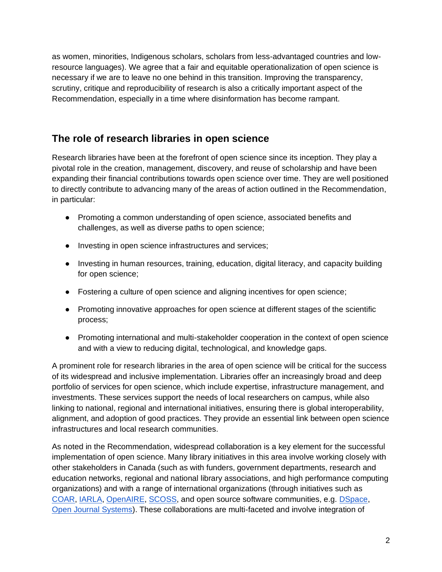as women, minorities, Indigenous scholars, scholars from less-advantaged countries and lowresource languages). We agree that a fair and equitable operationalization of open science is necessary if we are to leave no one behind in this transition. Improving the transparency, scrutiny, critique and reproducibility of research is also a critically important aspect of the Recommendation, especially in a time where disinformation has become rampant.

## **The role of research libraries in open science**

Research libraries have been at the forefront of open science since its inception. They play a pivotal role in the creation, management, discovery, and reuse of scholarship and have been expanding their financial contributions towards open science over time. They are well positioned to directly contribute to advancing many of the areas of action outlined in the Recommendation, in particular:

- Promoting a common understanding of open science, associated benefits and challenges, as well as diverse paths to open science;
- Investing in open science infrastructures and services;
- Investing in human resources, training, education, digital literacy, and capacity building for open science;
- Fostering a culture of open science and aligning incentives for open science;
- Promoting innovative approaches for open science at different stages of the scientific process;
- Promoting international and multi-stakeholder cooperation in the context of open science and with a view to reducing digital, technological, and knowledge gaps.

A prominent role for research libraries in the area of open science will be critical for the success of its widespread and inclusive implementation. Libraries offer an increasingly broad and deep portfolio of services for open science, which include expertise, infrastructure management, and investments. These services support the needs of local researchers on campus, while also linking to national, regional and international initiatives, ensuring there is global interoperability, alignment, and adoption of good practices. They provide an essential link between open science infrastructures and local research communities.

As noted in the Recommendation, widespread collaboration is a key element for the successful implementation of open science. Many library initiatives in this area involve working closely with other stakeholders in Canada (such as with funders, government departments, research and education networks, regional and national library associations, and high performance computing organizations) and with a range of international organizations (through initiatives such as [COAR,](https://www.coar-repositories.org/) [IARLA,](https://iarla.org/) [OpenAIRE,](https://www.openaire.eu/) [SCOSS,](https://scoss.org/) and open source software communities, e.g. [DSpace,](https://duraspace.org/dspace/) [Open Journal Systems\)](https://pkp.sfu.ca/ojs/). These collaborations are multi-faceted and involve integration of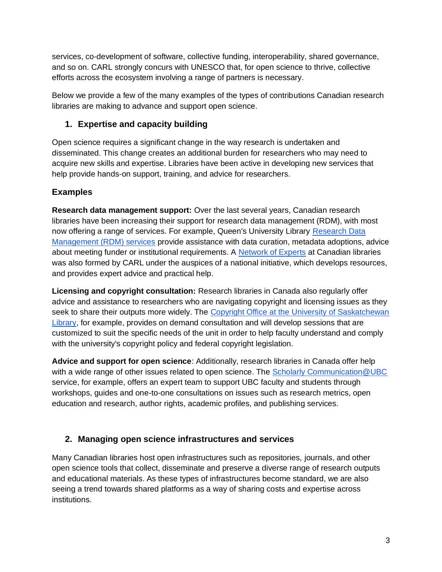services, co-development of software, collective funding, interoperability, shared governance, and so on. CARL strongly concurs with UNESCO that, for open science to thrive, collective efforts across the ecosystem involving a range of partners is necessary.

Below we provide a few of the many examples of the types of contributions Canadian research libraries are making to advance and support open science.

### **1. Expertise and capacity building**

Open science requires a significant change in the way research is undertaken and disseminated. This change creates an additional burden for researchers who may need to acquire new skills and expertise. Libraries have been active in developing new services that help provide hands-on support, training, and advice for researchers.

### **Examples**

**Research data management support:** Over the last several years, Canadian research libraries have been increasing their support for research data management (RDM), with most now offering a range of services. For example, Queen's University Library [Research Data](https://library.queensu.ca/help-services/research-data-management)  [Management \(RDM\) services](https://library.queensu.ca/help-services/research-data-management) provide assistance with data curation, metadata adoptions, advice about meeting funder or institutional requirements. A [Network of Experts](https://portagenetwork.ca/network-of-experts/?cn-reloaded=1) at Canadian libraries was also formed by CARL under the auspices of a national initiative, which develops resources, and provides expert advice and practical help.

**Licensing and copyright consultation:** Research libraries in Canada also regularly offer advice and assistance to researchers who are navigating copyright and licensing issues as they seek to share their outputs more widely. The Copyright Office at the University of Saskatchewan [Library,](https://library.usask.ca/copyright/about-us/index.php) for example, provides on demand consultation and will develop sessions that are customized to suit the specific needs of the unit in order to help faculty understand and comply with the university's copyright policy and federal copyright legislation.

**Advice and support for open science**: Additionally, research libraries in Canada offer help with a wide range of other issues related to open science. The Scholarly Communication @UBC service, for example, offers an expert team to support UBC faculty and students through workshops, guides and one-to-one consultations on issues such as research metrics, open education and research, author rights, academic profiles, and publishing services.

### **2. Managing open science infrastructures and services**

Many Canadian libraries host open infrastructures such as repositories, journals, and other open science tools that collect, disseminate and preserve a diverse range of research outputs and educational materials. As these types of infrastructures become standard, we are also seeing a trend towards shared platforms as a way of sharing costs and expertise across institutions.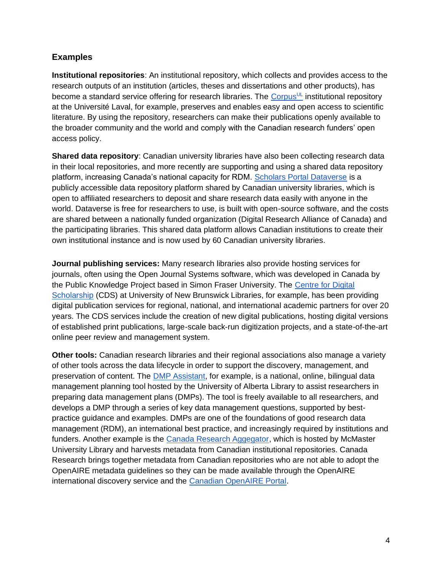#### **Examples**

**Institutional repositories**: An institutional repository, which collects and provides access to the research outputs of an institution (articles, theses and dissertations and other products), has become a standard service offering for research libraries. The [Corpus](https://corpus.ulaval.ca/jspui/apropos.jsp;jsessionid=1ED5539C70BEB0D65448F312740433CE)<sup>[UL](https://corpus.ulaval.ca/jspui/apropos.jsp;jsessionid=1ED5539C70BEB0D65448F312740433CE)</sup> institutional repository at the Université Laval, for example, preserves and enables easy and open access to scientific literature. By using the repository, researchers can make their publications openly available to the broader community and the world and comply with the Canadian research funders' open access policy.

**Shared data repository**: Canadian university libraries have also been collecting research data in their local repositories, and more recently are supporting and using a shared data repository platform, increasing Canada's national capacity for RDM. [Scholars Portal Dataverse](https://dataverse.scholarsportal.info/) is a publicly accessible data repository platform shared by Canadian university libraries, which is open to affiliated researchers to deposit and share research data easily with anyone in the world. Dataverse is free for researchers to use, is built with open-source software, and the costs are shared between a nationally funded organization (Digital Research Alliance of Canada) and the participating libraries. This shared data platform allows Canadian institutions to create their own institutional instance and is now used by 60 Canadian university libraries.

**Journal publishing services:** Many research libraries also provide hosting services for journals, often using the Open Journal Systems software, which was developed in Canada by the Public Knowledge Project based in Simon Fraser University. The [Centre for](https://lib.unb.ca/cds/publishing-services) Digital [Scholarship](https://lib.unb.ca/cds/publishing-services) (CDS) at University of New Brunswick Libraries, for example, has been providing digital publication services for regional, national, and international academic partners for over 20 years. The CDS services include the creation of new digital publications, hosting digital versions of established print publications, large-scale back-run digitization projects, and a state-of-the-art online peer review and management system.

**Other tools:** Canadian research libraries and their regional associations also manage a variety of other tools across the data lifecycle in order to support the discovery, management, and preservation of content. The [DMP Assistant,](https://assistant.portagenetwork.ca/) for example, is a national, online, bilingual data management planning tool hosted by the University of Alberta Library to assist researchers in preparing data management plans (DMPs). The tool is freely available to all researchers, and develops a DMP through a series of key data management questions, supported by bestpractice guidance and examples. DMPs are one of the foundations of good research data management (RDM), an international best practice, and increasingly required by institutions and funders. Another example is the [Canada Research Aggegator,](https://canadaresearch.mcmaster.ca/) which is hosted by McMaster University Library and harvests metadata from Canadian institutional repositories. Canada Research brings together metadata from Canadian repositories who are not able to adopt the OpenAIRE metadata guidelines so they can be made available through the OpenAIRE international discovery service and the [Canadian OpenAIRE Portal.](https://canada.explore.openaire.eu/)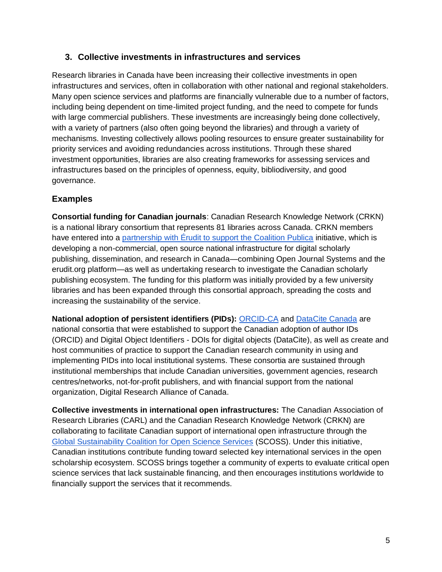#### **3. Collective investments in infrastructures and services**

Research libraries in Canada have been increasing their collective investments in open infrastructures and services, often in collaboration with other national and regional stakeholders. Many open science services and platforms are financially vulnerable due to a number of factors, including being dependent on time-limited project funding, and the need to compete for funds with large commercial publishers. These investments are increasingly being done collectively, with a variety of partners (also often going beyond the libraries) and through a variety of mechanisms. Investing collectively allows pooling resources to ensure greater sustainability for priority services and avoiding redundancies across institutions. Through these shared investment opportunities, libraries are also creating frameworks for assessing services and infrastructures based on the principles of openness, equity, bibliodiversity, and good governance.

#### **Examples**

**Consortial funding for Canadian journals**: Canadian Research Knowledge Network (CRKN) is a national library consortium that represents 81 libraries across Canada. CRKN members have entered into a [partnership with Érudit to support the Coalition Publica](https://www.crkn-rcdr.ca/en/support-coalition-publica-through-crkn-erudit-partnership) initiative, which is developing a non-commercial, open source national infrastructure for digital scholarly publishing, dissemination, and research in Canada—combining Open Journal Systems and the erudit.org platform—as well as undertaking research to investigate the Canadian scholarly publishing ecosystem. The funding for this platform was initially provided by a few university libraries and has been expanded through this consortial approach, spreading the costs and increasing the sustainability of the service.

**National adoption of persistent identifiers (PIDs):** [ORCID-CA](https://www.crkn-rcdr.ca/en/orcid-ca-home) and [DataCite Canada](https://www.crkn-rcdr.ca/en/datacite-canada-consortium) are national consortia that were established to support the Canadian adoption of author IDs (ORCID) and Digital Object Identifiers - DOIs for digital objects (DataCite), as well as create and host communities of practice to support the Canadian research community in using and implementing PIDs into local institutional systems. These consortia are sustained through institutional memberships that include Canadian universities, government agencies, research centres/networks, not-for-profit publishers, and with financial support from the national organization, Digital Research Alliance of Canada.

**Collective investments in international open infrastructures:** The Canadian Association of Research Libraries (CARL) and the Canadian Research Knowledge Network (CRKN) are collaborating to facilitate Canadian support of international open infrastructure through the [Global Sustainability Coalition for Open Science Services](https://scoss.org/) (SCOSS). Under this initiative, Canadian institutions contribute funding toward selected key international services in the open scholarship ecosystem. SCOSS brings together a community of experts to evaluate critical open science services that lack sustainable financing, and then encourages institutions worldwide to financially support the services that it recommends.